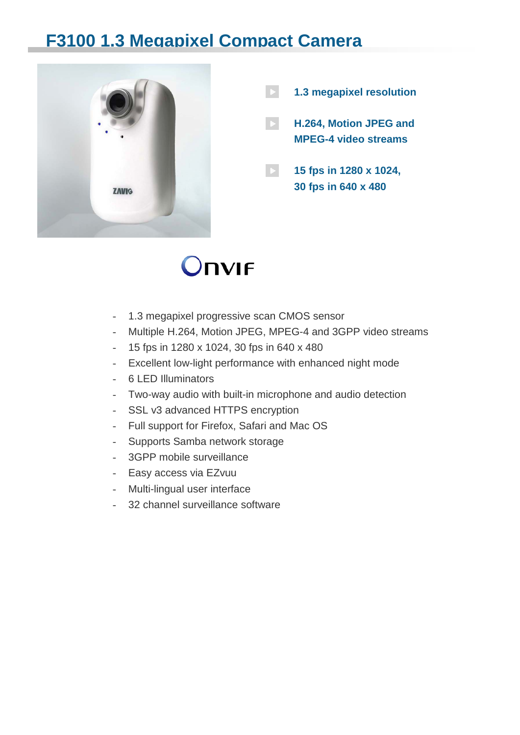## **F3100 1.3 Megapixel Compact Camera**



**1.3 megapixel resolution**

**H.264, Motion JPEG and MPEG-4 video streams**

**15 fps in 1280 x 1024, 30 fps in 640 x 480**

## **Onvir**

- 1.3 megapixel progressive scan CMOS sensor
- Multiple H.264, Motion JPEG, MPEG-4 and 3GPP video streams
- 15 fps in 1280 x 1024, 30 fps in 640 x 480
- Excellent low-light performance with enhanced night mode
- 6 LED Illuminators
- Two-way audio with built-in microphone and audio detection
- SSL v3 advanced HTTPS encryption
- Full support for Firefox, Safari and Mac OS
- Supports Samba network storage
- 3GPP mobile surveillance
- Easy access via EZvuu
- Multi-lingual user interface
- 32 channel surveillance software